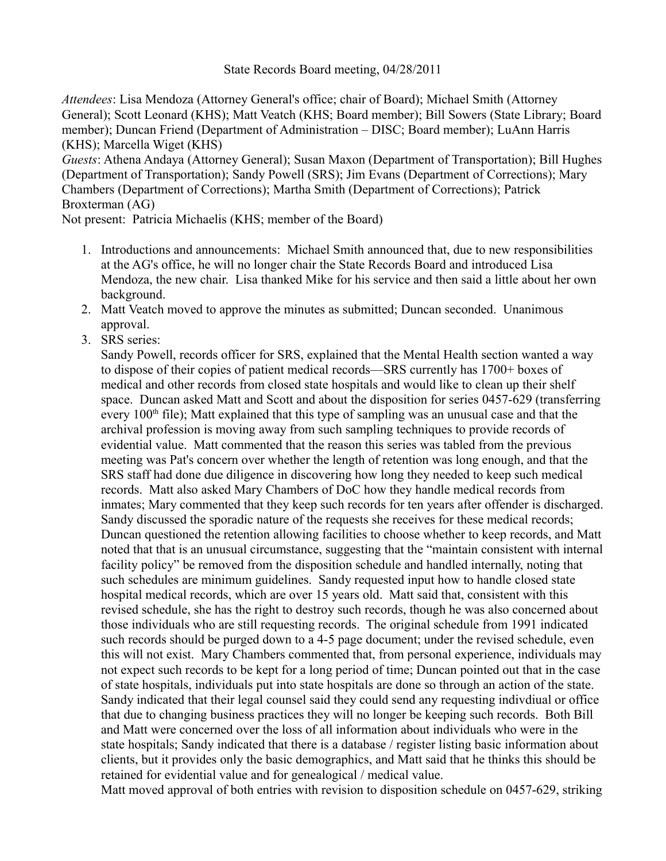State Records Board meeting, 04/28/2011

*Attendees*: Lisa Mendoza (Attorney General's office; chair of Board); Michael Smith (Attorney General); Scott Leonard (KHS); Matt Veatch (KHS; Board member); Bill Sowers (State Library; Board member); Duncan Friend (Department of Administration – DISC; Board member); LuAnn Harris (KHS); Marcella Wiget (KHS)

*Guests*: Athena Andaya (Attorney General); Susan Maxon (Department of Transportation); Bill Hughes (Department of Transportation); Sandy Powell (SRS); Jim Evans (Department of Corrections); Mary Chambers (Department of Corrections); Martha Smith (Department of Corrections); Patrick Broxterman (AG)

Not present: Patricia Michaelis (KHS; member of the Board)

- 1. Introductions and announcements: Michael Smith announced that, due to new responsibilities at the AG's office, he will no longer chair the State Records Board and introduced Lisa Mendoza, the new chair. Lisa thanked Mike for his service and then said a little about her own background.
- 2. Matt Veatch moved to approve the minutes as submitted; Duncan seconded. Unanimous approval.
- 3. SRS series:

Sandy Powell, records officer for SRS, explained that the Mental Health section wanted a way to dispose of their copies of patient medical records—SRS currently has 1700+ boxes of medical and other records from closed state hospitals and would like to clean up their shelf space. Duncan asked Matt and Scott and about the disposition for series 0457-629 (transferring every  $100<sup>th</sup>$  file); Matt explained that this type of sampling was an unusual case and that the archival profession is moving away from such sampling techniques to provide records of evidential value. Matt commented that the reason this series was tabled from the previous meeting was Pat's concern over whether the length of retention was long enough, and that the SRS staff had done due diligence in discovering how long they needed to keep such medical records. Matt also asked Mary Chambers of DoC how they handle medical records from inmates; Mary commented that they keep such records for ten years after offender is discharged. Sandy discussed the sporadic nature of the requests she receives for these medical records; Duncan questioned the retention allowing facilities to choose whether to keep records, and Matt noted that that is an unusual circumstance, suggesting that the "maintain consistent with internal facility policy" be removed from the disposition schedule and handled internally, noting that such schedules are minimum guidelines. Sandy requested input how to handle closed state hospital medical records, which are over 15 years old. Matt said that, consistent with this revised schedule, she has the right to destroy such records, though he was also concerned about those individuals who are still requesting records. The original schedule from 1991 indicated such records should be purged down to a 4-5 page document; under the revised schedule, even this will not exist. Mary Chambers commented that, from personal experience, individuals may not expect such records to be kept for a long period of time; Duncan pointed out that in the case of state hospitals, individuals put into state hospitals are done so through an action of the state. Sandy indicated that their legal counsel said they could send any requesting indivdiual or office that due to changing business practices they will no longer be keeping such records. Both Bill and Matt were concerned over the loss of all information about individuals who were in the state hospitals; Sandy indicated that there is a database / register listing basic information about clients, but it provides only the basic demographics, and Matt said that he thinks this should be retained for evidential value and for genealogical / medical value.

Matt moved approval of both entries with revision to disposition schedule on 0457-629, striking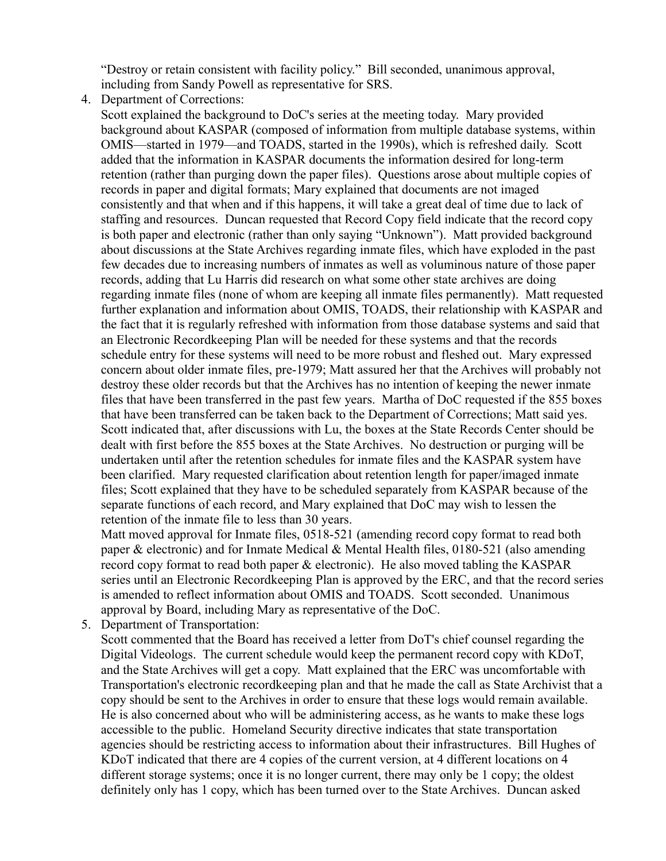"Destroy or retain consistent with facility policy." Bill seconded, unanimous approval, including from Sandy Powell as representative for SRS.

4. Department of Corrections:

Scott explained the background to DoC's series at the meeting today. Mary provided background about KASPAR (composed of information from multiple database systems, within OMIS—started in 1979—and TOADS, started in the 1990s), which is refreshed daily. Scott added that the information in KASPAR documents the information desired for long-term retention (rather than purging down the paper files). Questions arose about multiple copies of records in paper and digital formats; Mary explained that documents are not imaged consistently and that when and if this happens, it will take a great deal of time due to lack of staffing and resources. Duncan requested that Record Copy field indicate that the record copy is both paper and electronic (rather than only saying "Unknown"). Matt provided background about discussions at the State Archives regarding inmate files, which have exploded in the past few decades due to increasing numbers of inmates as well as voluminous nature of those paper records, adding that Lu Harris did research on what some other state archives are doing regarding inmate files (none of whom are keeping all inmate files permanently). Matt requested further explanation and information about OMIS, TOADS, their relationship with KASPAR and the fact that it is regularly refreshed with information from those database systems and said that an Electronic Recordkeeping Plan will be needed for these systems and that the records schedule entry for these systems will need to be more robust and fleshed out. Mary expressed concern about older inmate files, pre-1979; Matt assured her that the Archives will probably not destroy these older records but that the Archives has no intention of keeping the newer inmate files that have been transferred in the past few years. Martha of DoC requested if the 855 boxes that have been transferred can be taken back to the Department of Corrections; Matt said yes. Scott indicated that, after discussions with Lu, the boxes at the State Records Center should be dealt with first before the 855 boxes at the State Archives. No destruction or purging will be undertaken until after the retention schedules for inmate files and the KASPAR system have been clarified. Mary requested clarification about retention length for paper/imaged inmate files; Scott explained that they have to be scheduled separately from KASPAR because of the separate functions of each record, and Mary explained that DoC may wish to lessen the retention of the inmate file to less than 30 years.

Matt moved approval for Inmate files, 0518-521 (amending record copy format to read both paper & electronic) and for Inmate Medical & Mental Health files, 0180-521 (also amending record copy format to read both paper & electronic). He also moved tabling the KASPAR series until an Electronic Recordkeeping Plan is approved by the ERC, and that the record series is amended to reflect information about OMIS and TOADS. Scott seconded. Unanimous approval by Board, including Mary as representative of the DoC.

5. Department of Transportation:

Scott commented that the Board has received a letter from DoT's chief counsel regarding the Digital Videologs. The current schedule would keep the permanent record copy with KDoT, and the State Archives will get a copy. Matt explained that the ERC was uncomfortable with Transportation's electronic recordkeeping plan and that he made the call as State Archivist that a copy should be sent to the Archives in order to ensure that these logs would remain available. He is also concerned about who will be administering access, as he wants to make these logs accessible to the public. Homeland Security directive indicates that state transportation agencies should be restricting access to information about their infrastructures. Bill Hughes of KDoT indicated that there are 4 copies of the current version, at 4 different locations on 4 different storage systems; once it is no longer current, there may only be 1 copy; the oldest definitely only has 1 copy, which has been turned over to the State Archives. Duncan asked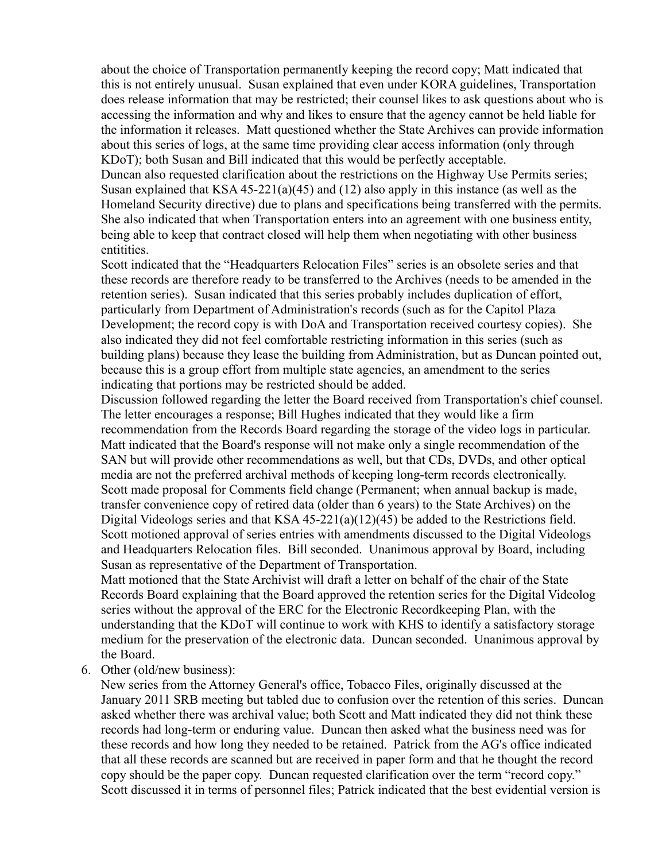about the choice of Transportation permanently keeping the record copy; Matt indicated that this is not entirely unusual. Susan explained that even under KORA guidelines, Transportation does release information that may be restricted; their counsel likes to ask questions about who is accessing the information and why and likes to ensure that the agency cannot be held liable for the information it releases. Matt questioned whether the State Archives can provide information about this series of logs, at the same time providing clear access information (only through KDoT); both Susan and Bill indicated that this would be perfectly acceptable.

Duncan also requested clarification about the restrictions on the Highway Use Permits series; Susan explained that KSA 45-221(a)(45) and (12) also apply in this instance (as well as the Homeland Security directive) due to plans and specifications being transferred with the permits. She also indicated that when Transportation enters into an agreement with one business entity, being able to keep that contract closed will help them when negotiating with other business entitities.

Scott indicated that the "Headquarters Relocation Files" series is an obsolete series and that these records are therefore ready to be transferred to the Archives (needs to be amended in the retention series). Susan indicated that this series probably includes duplication of effort, particularly from Department of Administration's records (such as for the Capitol Plaza Development; the record copy is with DoA and Transportation received courtesy copies). She also indicated they did not feel comfortable restricting information in this series (such as building plans) because they lease the building from Administration, but as Duncan pointed out, because this is a group effort from multiple state agencies, an amendment to the series indicating that portions may be restricted should be added.

Discussion followed regarding the letter the Board received from Transportation's chief counsel. The letter encourages a response; Bill Hughes indicated that they would like a firm recommendation from the Records Board regarding the storage of the video logs in particular. Matt indicated that the Board's response will not make only a single recommendation of the SAN but will provide other recommendations as well, but that CDs, DVDs, and other optical media are not the preferred archival methods of keeping long-term records electronically. Scott made proposal for Comments field change (Permanent; when annual backup is made, transfer convenience copy of retired data (older than 6 years) to the State Archives) on the Digital Videologs series and that KSA 45-221(a)(12)(45) be added to the Restrictions field. Scott motioned approval of series entries with amendments discussed to the Digital Videologs and Headquarters Relocation files. Bill seconded. Unanimous approval by Board, including Susan as representative of the Department of Transportation.

Matt motioned that the State Archivist will draft a letter on behalf of the chair of the State Records Board explaining that the Board approved the retention series for the Digital Videolog series without the approval of the ERC for the Electronic Recordkeeping Plan, with the understanding that the KDoT will continue to work with KHS to identify a satisfactory storage medium for the preservation of the electronic data. Duncan seconded. Unanimous approval by the Board.

6. Other (old/new business):

New series from the Attorney General's office, Tobacco Files, originally discussed at the January 2011 SRB meeting but tabled due to confusion over the retention of this series. Duncan asked whether there was archival value; both Scott and Matt indicated they did not think these records had long-term or enduring value. Duncan then asked what the business need was for these records and how long they needed to be retained. Patrick from the AG's office indicated that all these records are scanned but are received in paper form and that he thought the record copy should be the paper copy. Duncan requested clarification over the term "record copy." Scott discussed it in terms of personnel files; Patrick indicated that the best evidential version is